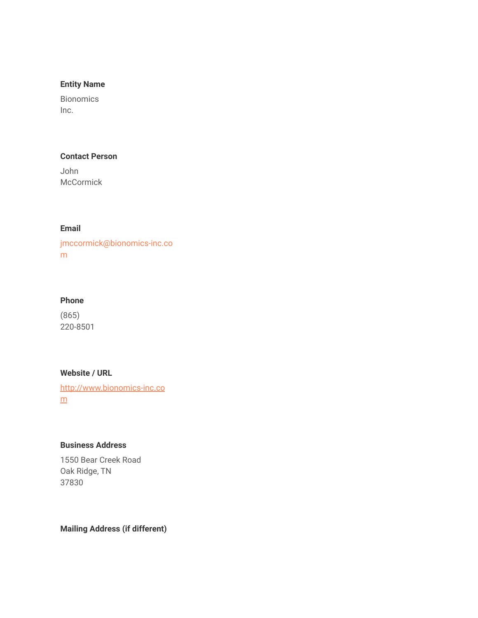## **Entity Name**

Bionomics Inc.

## **Contact Person**

John **McCormick** 

# **Email**

jmccormick@bionomics-inc.co m

### **Phone**

(865) 220-8501

#### **Website / URL**

[http://www.bionomics-inc.co](http://www.bionomics-inc.com/) [m](http://www.bionomics-inc.com/)

# **Business Address**

1550 Bear Creek Road Oak Ridge, TN 37830

**Mailing Address (if different)**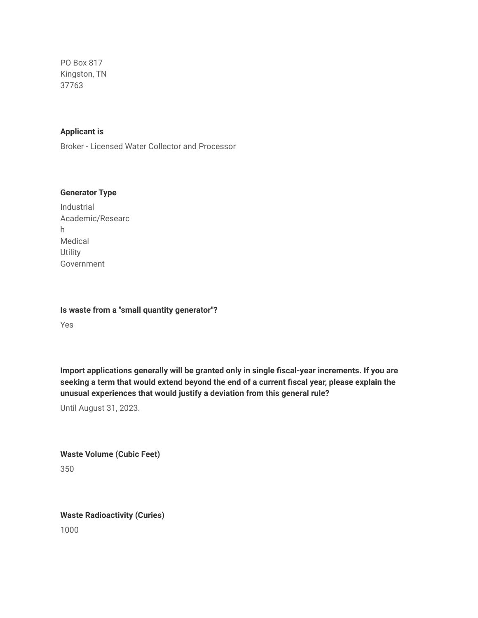PO Box 817 Kingston, TN 37763

#### **Applicant is**

Broker - Licensed Water Collector and Processor

#### **Generator Type**

Industrial Academic/Researc h Medical **Utility** Government

**Is waste from a "small quantity generator"?**

Yes

**Import applications generally will be granted only in single fiscal-year increments. If you are seeking a term that would extend beyond the end of a current fiscal year, please explain the unusual experiences that would justify a deviation from this general rule?**

Until August 31, 2023.

**Waste Volume (Cubic Feet)** 350

**Waste Radioactivity (Curies)**

1000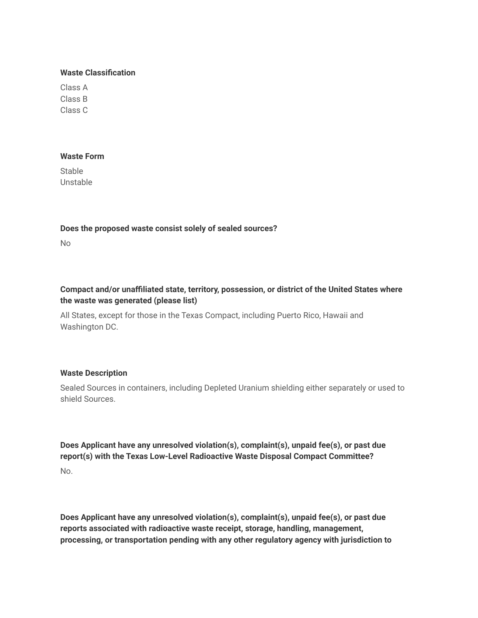#### **Waste Classification**

Class A Class B Class C

#### **Waste Form**

Stable Unstable

### **Does the proposed waste consist solely of sealed sources?**

No

# **Compact and/or unaffiliated state, territory, possession, or district of the United States where the waste was generated (please list)**

All States, except for those in the Texas Compact, including Puerto Rico, Hawaii and Washington DC.

### **Waste Description**

Sealed Sources in containers, including Depleted Uranium shielding either separately or used to shield Sources.

**Does Applicant have any unresolved violation(s), complaint(s), unpaid fee(s), or past due report(s) with the Texas Low-Level Radioactive Waste Disposal Compact Committee?** No.

**Does Applicant have any unresolved violation(s), complaint(s), unpaid fee(s), or past due reports associated with radioactive waste receipt, storage, handling, management, processing, or transportation pending with any other regulatory agency with jurisdiction to**